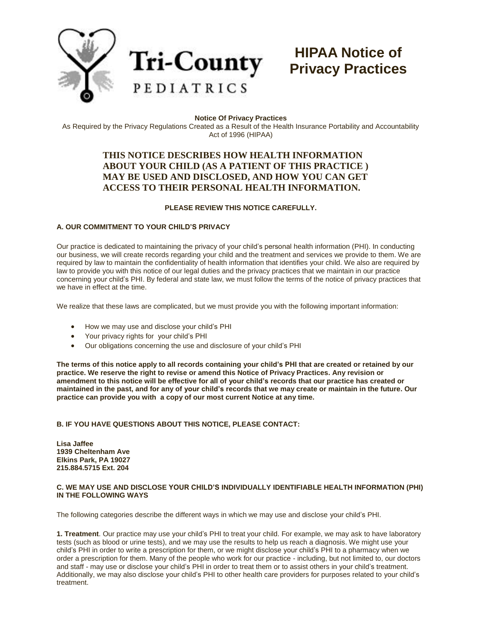

# **HIPAA Notice of Privacy Practices**

#### **Notice Of Privacy Practices**

As Required by the Privacy Regulations Created as a Result of the Health Insurance Portability and Accountability Act of 1996 (HIPAA)

# **THIS NOTICE DESCRIBES HOW HEALTH INFORMATION ABOUT YOUR CHILD (AS A PATIENT OF THIS PRACTICE ) MAY BE USED AND DISCLOSED, AND HOW YOU CAN GET ACCESS TO THEIR PERSONAL HEALTH INFORMATION.**

### **PLEASE REVIEW THIS NOTICE CAREFULLY.**

#### **A. OUR COMMITMENT TO YOUR CHILD'S PRIVACY**

Our practice is dedicated to maintaining the privacy of your child's personal health information (PHI). In conducting our business, we will create records regarding your child and the treatment and services we provide to them. We are required by law to maintain the confidentiality of health information that identifies your child. We also are required by law to provide you with this notice of our legal duties and the privacy practices that we maintain in our practice concerning your child's PHI. By federal and state law, we must follow the terms of the notice of privacy practices that we have in effect at the time.

We realize that these laws are complicated, but we must provide you with the following important information:

- How we may use and disclose your child's PHI
- Your privacy rights for your child's PHI
- Our obligations concerning the use and disclosure of your child's PHI

**The terms of this notice apply to all records containing your child's PHI that are created or retained by our practice. We reserve the right to revise or amend this Notice of Privacy Practices. Any revision or amendment to this notice will be effective for all of your child's records that our practice has created or maintained in the past, and for any of your child's records that we may create or maintain in the future. Our practice can provide you with a copy of our most current Notice at any time.**

## **B. IF YOU HAVE QUESTIONS ABOUT THIS NOTICE, PLEASE CONTACT:**

**Lisa Jaffee 1939 Cheltenham Ave Elkins Park, PA 19027 215.884.5715 Ext. 204**

#### **C. WE MAY USE AND DISCLOSE YOUR CHILD'S INDIVIDUALLY IDENTIFIABLE HEALTH INFORMATION (PHI) IN THE FOLLOWING WAYS**

The following categories describe the different ways in which we may use and disclose your child's PHI.

**1. Treatment**. Our practice may use your child's PHI to treat your child. For example, we may ask to have laboratory tests (such as blood or urine tests), and we may use the results to help us reach a diagnosis. We might use your child's PHI in order to write a prescription for them, or we might disclose your child's PHI to a pharmacy when we order a prescription for them. Many of the people who work for our practice - including, but not limited to, our doctors and staff - may use or disclose your child's PHI in order to treat them or to assist others in your child's treatment. Additionally, we may also disclose your child's PHI to other health care providers for purposes related to your child's treatment.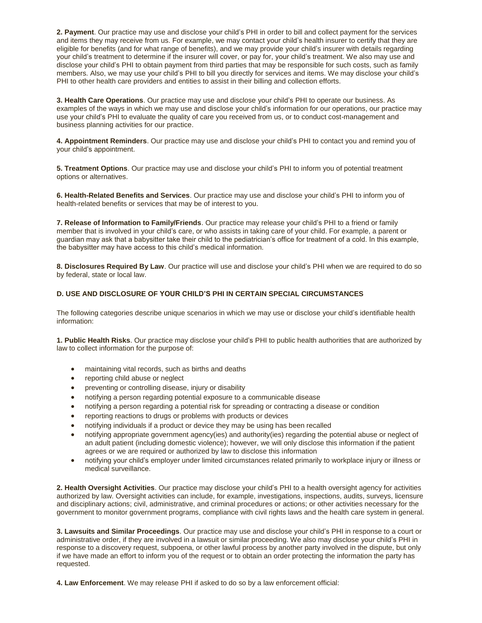**2. Payment**. Our practice may use and disclose your child's PHI in order to bill and collect payment for the services and items they may receive from us. For example, we may contact your child's health insurer to certify that they are eligible for benefits (and for what range of benefits), and we may provide your child's insurer with details regarding your child's treatment to determine if the insurer will cover, or pay for, your child's treatment. We also may use and disclose your child's PHI to obtain payment from third parties that may be responsible for such costs, such as family members. Also, we may use your child's PHI to bill you directly for services and items. We may disclose your child's PHI to other health care providers and entities to assist in their billing and collection efforts.

**3. Health Care Operations**. Our practice may use and disclose your child's PHI to operate our business. As examples of the ways in which we may use and disclose your child's information for our operations, our practice may use your child's PHI to evaluate the quality of care you received from us, or to conduct cost-management and business planning activities for our practice.

**4. Appointment Reminders**. Our practice may use and disclose your child's PHI to contact you and remind you of your child's appointment.

**5. Treatment Options**. Our practice may use and disclose your child's PHI to inform you of potential treatment options or alternatives.

**6. Health-Related Benefits and Services**. Our practice may use and disclose your child's PHI to inform you of health-related benefits or services that may be of interest to you.

**7. Release of Information to Family/Friends**. Our practice may release your child's PHI to a friend or family member that is involved in your child's care, or who assists in taking care of your child. For example, a parent or guardian may ask that a babysitter take their child to the pediatrician's office for treatment of a cold. In this example, the babysitter may have access to this child's medical information.

**8. Disclosures Required By Law**. Our practice will use and disclose your child's PHI when we are required to do so by federal, state or local law.

#### **D. USE AND DISCLOSURE OF YOUR CHILD'S PHI IN CERTAIN SPECIAL CIRCUMSTANCES**

The following categories describe unique scenarios in which we may use or disclose your child's identifiable health information:

**1. Public Health Risks**. Our practice may disclose your child's PHI to public health authorities that are authorized by law to collect information for the purpose of:

- maintaining vital records, such as births and deaths
- reporting child abuse or neglect
- preventing or controlling disease, injury or disability
- notifying a person regarding potential exposure to a communicable disease
- notifying a person regarding a potential risk for spreading or contracting a disease or condition
- reporting reactions to drugs or problems with products or devices
- notifying individuals if a product or device they may be using has been recalled
- notifying appropriate government agency(ies) and authority(ies) regarding the potential abuse or neglect of an adult patient (including domestic violence); however, we will only disclose this information if the patient agrees or we are required or authorized by law to disclose this information
- notifying your child's employer under limited circumstances related primarily to workplace injury or illness or medical surveillance.

**2. Health Oversight Activities**. Our practice may disclose your child's PHI to a health oversight agency for activities authorized by law. Oversight activities can include, for example, investigations, inspections, audits, surveys, licensure and disciplinary actions; civil, administrative, and criminal procedures or actions; or other activities necessary for the government to monitor government programs, compliance with civil rights laws and the health care system in general.

**3. Lawsuits and Similar Proceedings**. Our practice may use and disclose your child's PHI in response to a court or administrative order, if they are involved in a lawsuit or similar proceeding. We also may disclose your child's PHI in response to a discovery request, subpoena, or other lawful process by another party involved in the dispute, but only if we have made an effort to inform you of the request or to obtain an order protecting the information the party has requested.

**4. Law Enforcement**. We may release PHI if asked to do so by a law enforcement official: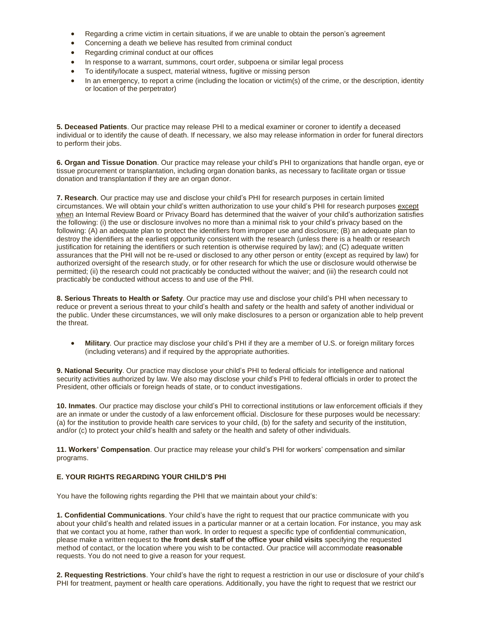- Regarding a crime victim in certain situations, if we are unable to obtain the person's agreement
- Concerning a death we believe has resulted from criminal conduct
- Regarding criminal conduct at our offices
- In response to a warrant, summons, court order, subpoena or similar legal process
- To identify/locate a suspect, material witness, fugitive or missing person
- In an emergency, to report a crime (including the location or victim(s) of the crime, or the description, identity or location of the perpetrator)

**5. Deceased Patients**. Our practice may release PHI to a medical examiner or coroner to identify a deceased individual or to identify the cause of death. If necessary, we also may release information in order for funeral directors to perform their jobs.

**6. Organ and Tissue Donation**. Our practice may release your child's PHI to organizations that handle organ, eye or tissue procurement or transplantation, including organ donation banks, as necessary to facilitate organ or tissue donation and transplantation if they are an organ donor.

**7. Research**. Our practice may use and disclose your child's PHI for research purposes in certain limited circumstances. We will obtain your child's written authorization to use your child's PHI for research purposes except when an Internal Review Board or Privacy Board has determined that the waiver of your child's authorization satisfies the following: (i) the use or disclosure involves no more than a minimal risk to your child's privacy based on the following: (A) an adequate plan to protect the identifiers from improper use and disclosure; (B) an adequate plan to destroy the identifiers at the earliest opportunity consistent with the research (unless there is a health or research justification for retaining the identifiers or such retention is otherwise required by law); and (C) adequate written assurances that the PHI will not be re-used or disclosed to any other person or entity (except as required by law) for authorized oversight of the research study, or for other research for which the use or disclosure would otherwise be permitted; (ii) the research could not practicably be conducted without the waiver; and (iii) the research could not practicably be conducted without access to and use of the PHI.

**8. Serious Threats to Health or Safety**. Our practice may use and disclose your child's PHI when necessary to reduce or prevent a serious threat to your child's health and safety or the health and safety of another individual or the public. Under these circumstances, we will only make disclosures to a person or organization able to help prevent the threat.

 **Military**. Our practice may disclose your child's PHI if they are a member of U.S. or foreign military forces (including veterans) and if required by the appropriate authorities.

**9. National Security**. Our practice may disclose your child's PHI to federal officials for intelligence and national security activities authorized by law. We also may disclose your child's PHI to federal officials in order to protect the President, other officials or foreign heads of state, or to conduct investigations.

**10. Inmates**. Our practice may disclose your child's PHI to correctional institutions or law enforcement officials if they are an inmate or under the custody of a law enforcement official. Disclosure for these purposes would be necessary: (a) for the institution to provide health care services to your child, (b) for the safety and security of the institution, and/or (c) to protect your child's health and safety or the health and safety of other individuals.

**11. Workers' Compensation**. Our practice may release your child's PHI for workers' compensation and similar programs.

### **E. YOUR RIGHTS REGARDING YOUR CHILD'S PHI**

You have the following rights regarding the PHI that we maintain about your child's:

**1. Confidential Communications**. Your child's have the right to request that our practice communicate with you about your child's health and related issues in a particular manner or at a certain location. For instance, you may ask that we contact you at home, rather than work. In order to request a specific type of confidential communication, please make a written request to **the front desk staff of the office your child visits** specifying the requested method of contact, or the location where you wish to be contacted. Our practice will accommodate **reasonable** requests. You do not need to give a reason for your request.

**2. Requesting Restrictions**. Your child's have the right to request a restriction in our use or disclosure of your child's PHI for treatment, payment or health care operations. Additionally, you have the right to request that we restrict our